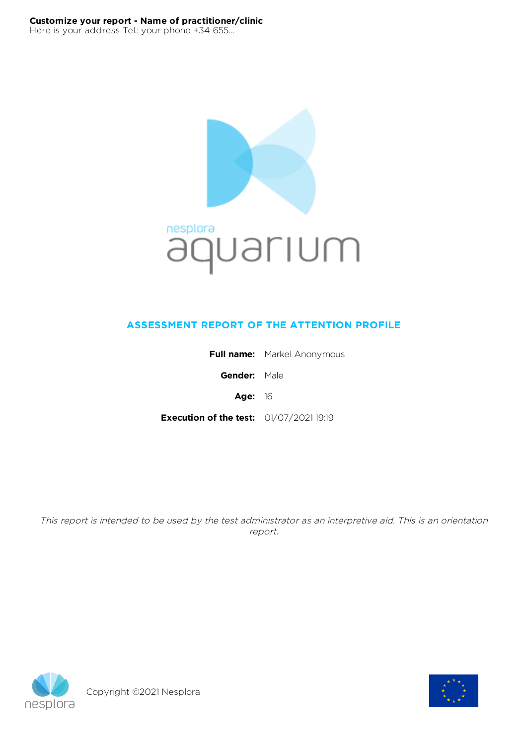

# **ASSESSMENT REPORT OF THE ATTENTION PROFILE**

|                                                | <b>Full name:</b> Markel Anonymous |
|------------------------------------------------|------------------------------------|
| Gender: Male                                   |                                    |
| Age: $16$                                      |                                    |
| <b>Execution of the test:</b> 01/07/2021 19:19 |                                    |

This report is intended to be used by the test administrator as an interpretive aid. This is an orientation report.



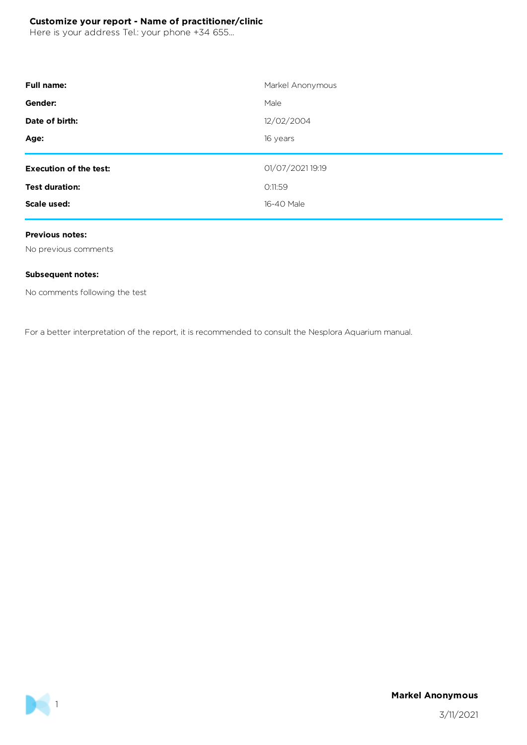Here is your address Tel.: your phone +34 655...

| <b>Full name:</b>             | Markel Anonymous |
|-------------------------------|------------------|
| Gender:                       | Male             |
| Date of birth:                | 12/02/2004       |
| Age:                          | 16 years         |
| <b>Execution of the test:</b> | 01/07/2021 19:19 |
| <b>Test duration:</b>         | O:11:59          |
|                               |                  |
| Scale used:                   | 16-40 Male       |

#### **Previous notes:**

No previous comments

#### **Subsequent notes:**

No comments following the test

For a better interpretation of the report, it is recommended to consult the Nesplora Aquarium manual.



**Markel Anonymous**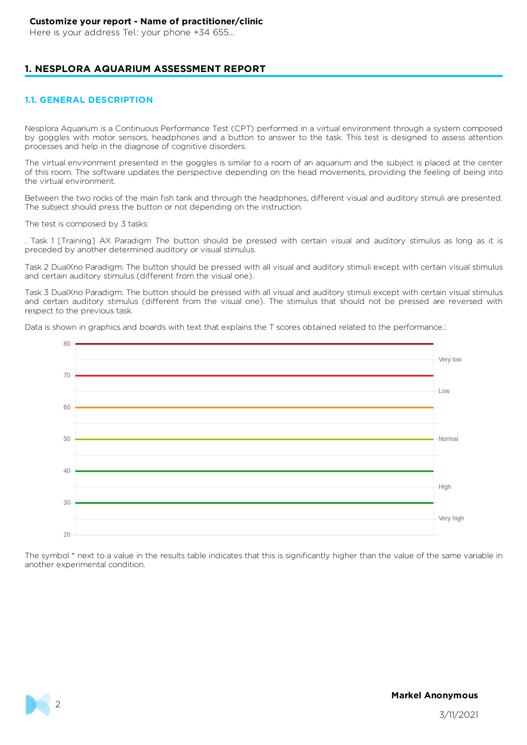Here is your address Tel.: your phone +34 655...

### **1. NESPLORA AQUARIUM ASSESSMENT REPORT**

#### **1.1. GENERAL DESCRIPTION**

Nesplora Aquarium is a Continuous Performance Test (CPT) performed in a virtual environment through a system composed by goggles with motor sensors, headphones and a button to answer to the task. This test is designed to assess attention processes and help in the diagnose of cognitive disorders.

The virtual environment presented in the goggles is similar to a room of an aquarium and the subject is placed at the center of this room. The software updates the perspective depending on the head movements, providing the feeling of being into the virtual environment.

Between the two rocks of the main fish tank and through the headphones, different visual and auditory stimuli are presented. The subject should press the button or not depending on the instruction.

The test is composed by 3 tasks:

. Task 1 [Training] AX Paradigm The button should be pressed with certain visual and auditory stimulus as long as it is preceded by another determined auditory or visual stimulus.

Task 2 DualXno Paradigm: The button should be pressed with all visual and auditory stimuli except with certain visual stimulus and certain auditory stimulus (different from the visual one).

Task 3 DualXno Paradigm: The button should be pressed with all visual and auditory stimuli except with certain visual stimulus and certain auditory stimulus (different from the visual one). The stimulus that should not be pressed are reversed with respect to the previous task.

Data is shown in graphics and boards with text that explains the T scores obtained related to the performance.:



The symbol \* next to a value in the results table indicates that this is significantly higher than the value of the same variable in another experimental condition.



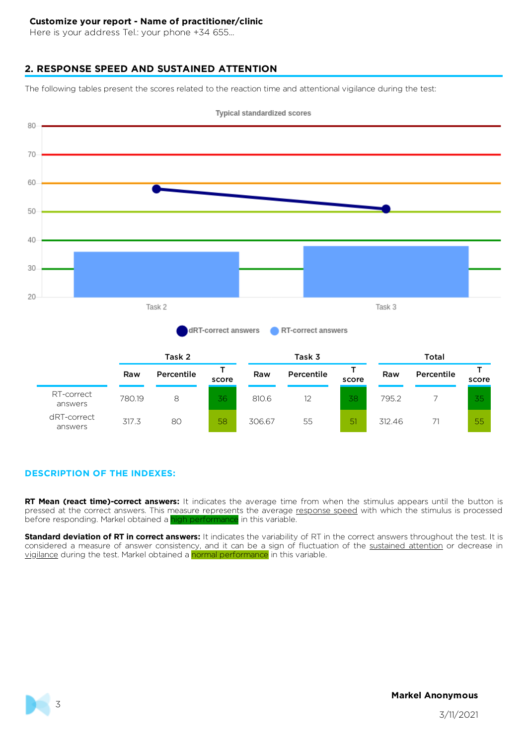Here is your address Tel.: your phone +34 655...

### **2. RESPONSE SPEED AND SUSTAINED ATTENTION**

The following tables present the scores related to the reaction time and attentional vigilance during the test:



#### **DESCRIPTION OF THE INDEXES:**

**RT Mean (react time)-correct answers:** It indicates the average time from when the stimulus appears until the button is pressed at the correct answers. This measure represents the average response speed with which the stimulus is processed before responding. Markel obtained a high performance in this variable.

**Standard deviation of RT in correct answers:** It indicates the variability of RT in the correct answers throughout the test. It is considered a measure of answer consistency, and it can be a sign of fluctuation of the sustained attention or decrease in vigilance during the test. Markel obtained a normal performance in this variable.

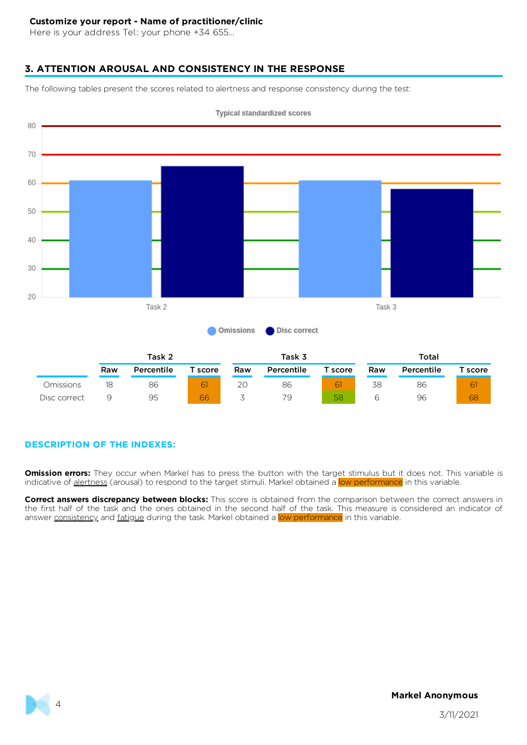Here is your address Tel.: your phone +34 655...

# **3. ATTENTION AROUSAL AND CONSISTENCY IN THE RESPONSE**

The following tables present the scores related to alertness and response consistency during the test:



**Typical standardized scores** 

# **DESCRIPTION OF THE INDEXES:**

**Omission errors:** They occur when Markel has to press the button with the target stimulus but it does not. This variable is indicative of alertness (arousal) to respond to the target stimuli. Markel obtained a low performance in this variable.

**Correct answers discrepancy between blocks:** This score is obtained from the comparison between the correct answers in the first half of the task and the ones obtained in the second half of the task. This measure is considered an indicator of answer consistency and fatigue during the task. Markel obtained a low performance in this variable.

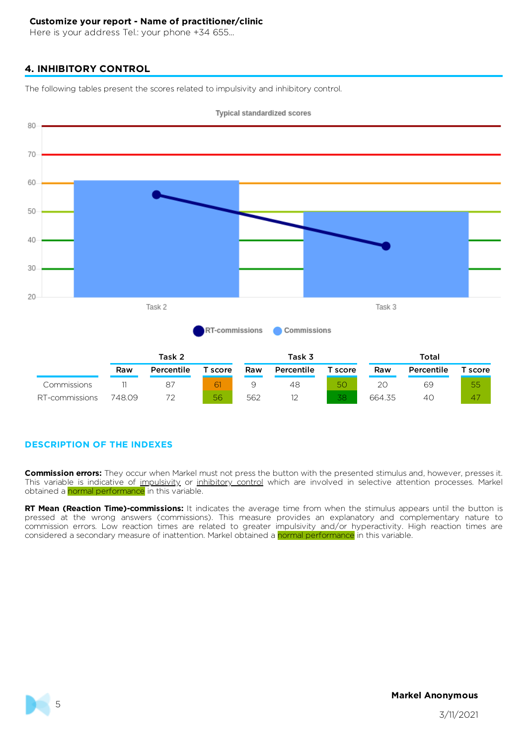Here is your address Tel.: your phone +34 655...

# **4. INHIBITORY CONTROL**

The following tables present the scores related to impulsivity and inhibitory control.



**DESCRIPTION OF THE INDEXES**

**Commission errors:** They occur when Markel must not press the button with the presented stimulus and, however, presses it. This variable is indicative of impulsivity or inhibitory control which are involved in selective attention processes. Markel obtained a normal performance in this variable.

**RT Mean (Reaction Time)-commissions:** It indicates the average time from when the stimulus appears until the button is pressed at the wrong answers (commissions). This measure provides an explanatory and complementary nature to commission errors. Low reaction times are related to greater impulsivity and/or hyperactivity. High reaction times are considered a secondary measure of inattention. Markel obtained a normal performance in this variable.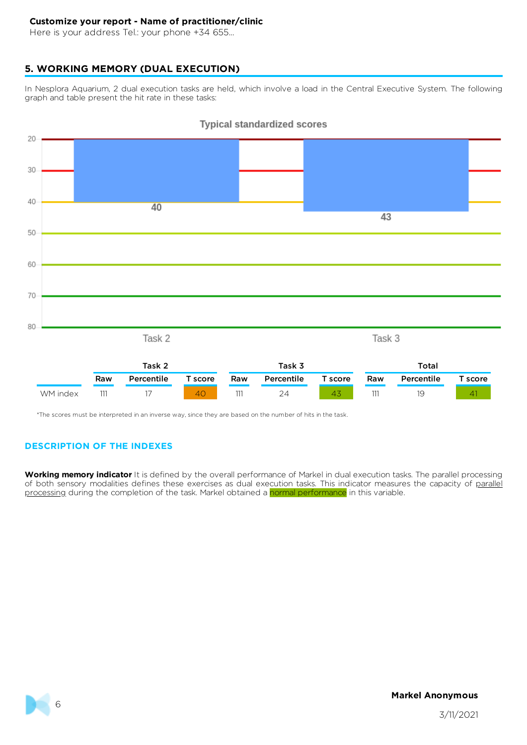Here is your address Tel.: your phone +34 655...

# **5. WORKING MEMORY (DUAL EXECUTION)**

In Nesplora Aquarium, 2 dual execution tasks are held, which involve a load in the Central Executive System. The following graph and table present the hit rate in these tasks:



#### **Typical standardized scores**

\*The scores must be interpreted in an inverse way, since they are based on the number of hits in the task.

# **DESCRIPTION OF THE INDEXES**

**Working memory indicator** It is defined by the overall performance of Markel in dual execution tasks. The parallel processing of both sensory modalities defines these exercises as dual execution tasks. This indicator measures the capacity of parallel processing during the completion of the task. Markel obtained a normal performance in this variable.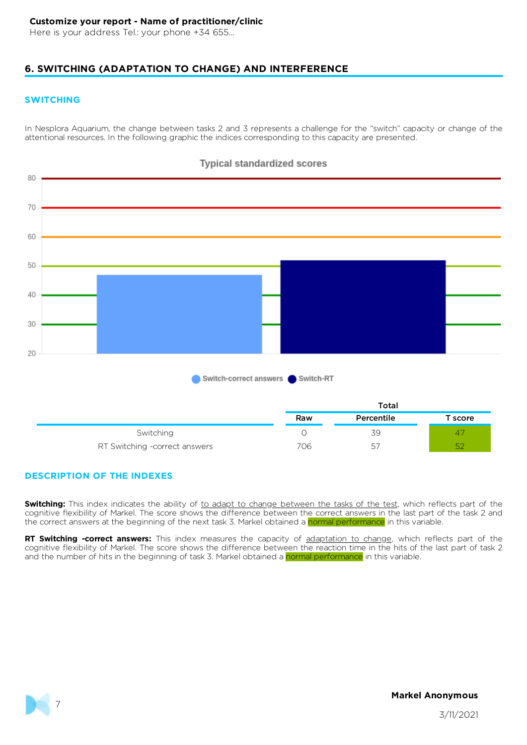Here is your address Tel.: your phone +34 655...

# **6. SWITCHING (ADAPTATION TO CHANGE) AND INTERFERENCE**

#### **SWITCHING**

In Nesplora Aquarium, the change between tasks 2 and 3 represents a challenge for the "switch" capacity or change of the attentional resources. In the following graphic the indices corresponding to this capacity are presented.



### **Typical standardized scores**

### **DESCRIPTION OF THE INDEXES**

**Switching:** This index indicates the ability of to adapt to change between the tasks of the test, which reflects part of the cognitive flexibility of Markel. The score shows the difference between the correct answers in the last part of the task 2 and the correct answers at the beginning of the next task 3. Markel obtained a normal performance in this variable.

**RT Switching -correct answers:** This index measures the capacity of adaptation to change, which reflects part of the cognitive flexibility of Markel. The score shows the difference between the reaction time in the hits of the last part of task 2 and the number of hits in the beginning of task 3. Markel obtained a normal performance in this variable.

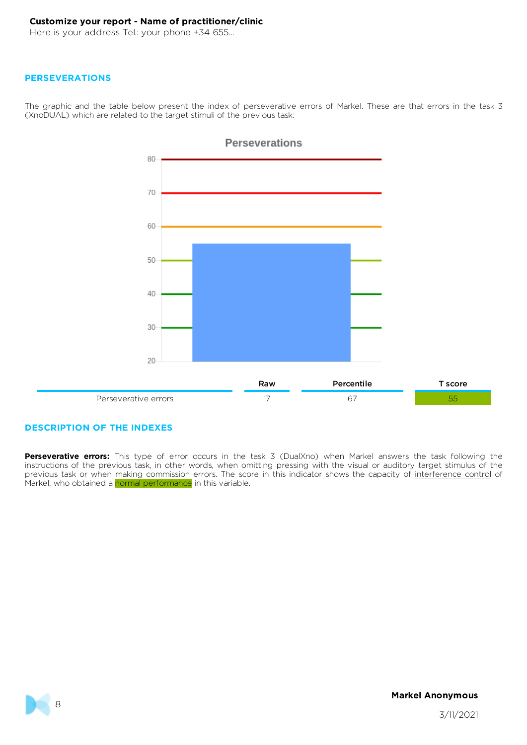Here is your address Tel.: your phone +34 655...

#### **PERSEVERATIONS**

The graphic and the table below present the index of perseverative errors of Markel. These are that errors in the task 3 (XnoDUAL) which are related to the target stimuli of the previous task:



### **DESCRIPTION OF THE INDEXES**

**Perseverative errors:** This type of error occurs in the task 3 (DualXno) when Markel answers the task following the instructions of the previous task, in other words, when omitting pressing with the visual or auditory target stimulus of the previous task or when making commission errors. The score in this indicator shows the capacity of interference control of Markel, who obtained a normal performance in this variable.

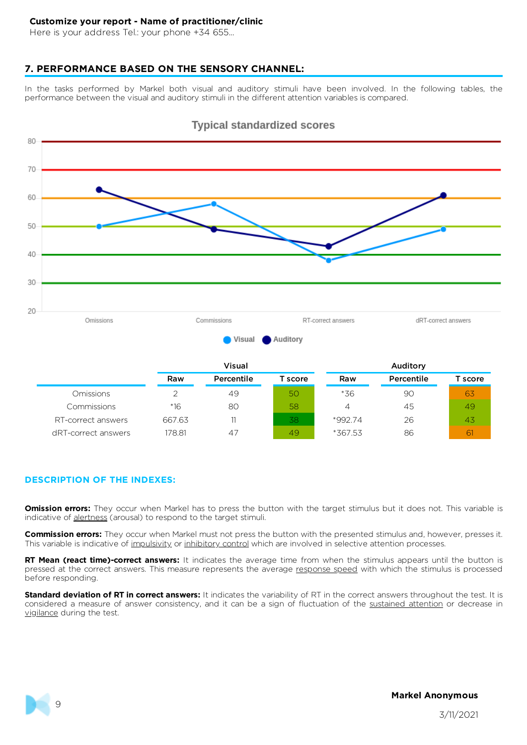Here is your address Tel.: your phone +34 655...

#### **7. PERFORMANCE BASED ON THE SENSORY CHANNEL:**

In the tasks performed by Markel both visual and auditory stimuli have been involved. In the following tables, the performance between the visual and auditory stimuli in the different attention variables is compared.



### **Typical standardized scores**

|                     |        | Visual     |         |         | Auditory   |         |  |
|---------------------|--------|------------|---------|---------|------------|---------|--|
|                     | Raw    | Percentile | T score | Raw     | Percentile | T score |  |
| <b>Omissions</b>    |        | 49         | 50      | *36     | 90         | 63      |  |
| Commissions         | $*16$  | 80         | 58      | 4       | 45         | 49      |  |
| RT-correct answers  | 667.63 | 11         | 38      | *99274  | 26         | 43      |  |
| dRT-correct answers | 178.81 | 47         | 49      | *367.53 | 86         | 6       |  |

#### **DESCRIPTION OF THE INDEXES:**

**Omission errors:** They occur when Markel has to press the button with the target stimulus but it does not. This variable is indicative of alertness (arousal) to respond to the target stimuli.

**Commission errors:** They occur when Markel must not press the button with the presented stimulus and, however, presses it. This variable is indicative of impulsivity or inhibitory control which are involved in selective attention processes.

**RT Mean (react time)-correct answers:** It indicates the average time from when the stimulus appears until the button is pressed at the correct answers. This measure represents the average response speed with which the stimulus is processed before responding.

**Standard deviation of RT in correct answers:** It indicates the variability of RT in the correct answers throughout the test. It is considered a measure of answer consistency, and it can be a sign of fluctuation of the sustained attention or decrease in vigilance during the test.

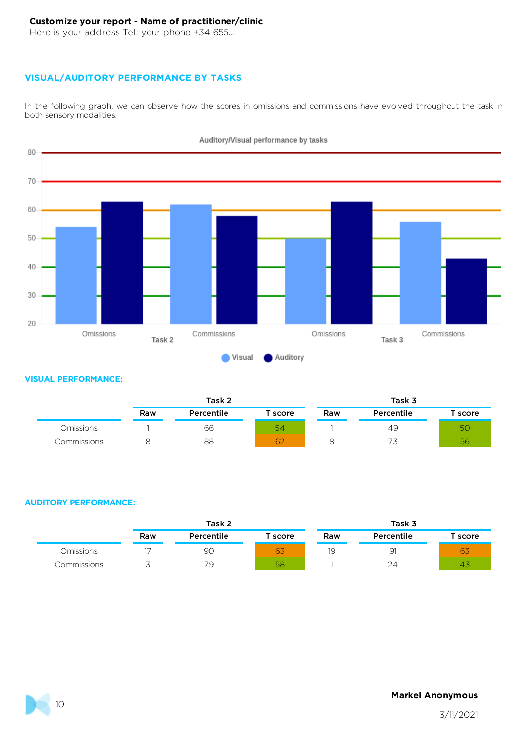Here is your address Tel.: your phone +34 655...

### **VISUAL/AUDITORY PERFORMANCE BY TASKS**

In the following graph, we can observe how the scores in omissions and commissions have evolved throughout the task in both sensory modalities:



Auditory/Visual performance by tasks

#### **VISUAL PERFORMANCE:**

|             |     | Task 2     |         |     | Task 3     |         |
|-------------|-----|------------|---------|-----|------------|---------|
|             | Raw | Percentile | score : | Raw | Percentile | T score |
| Omissions   |     | 66         | 54      |     | 49         | 5C      |
| Commissions |     | 88         | 62      |     | ◡          | 56      |

#### **AUDITORY PERFORMANCE:**

|             |     | Task 2     |                       |     | Task 3     |                     |  |
|-------------|-----|------------|-----------------------|-----|------------|---------------------|--|
|             | Raw | Percentile | $\mathsf{\tau}$ score | Raw | Percentile | $^\mathsf{T}$ score |  |
| Omissions   |     | 90         | 63                    | 10  | 9          | 63                  |  |
| Commissions |     | 79         | 58                    |     | 24         | 745                 |  |

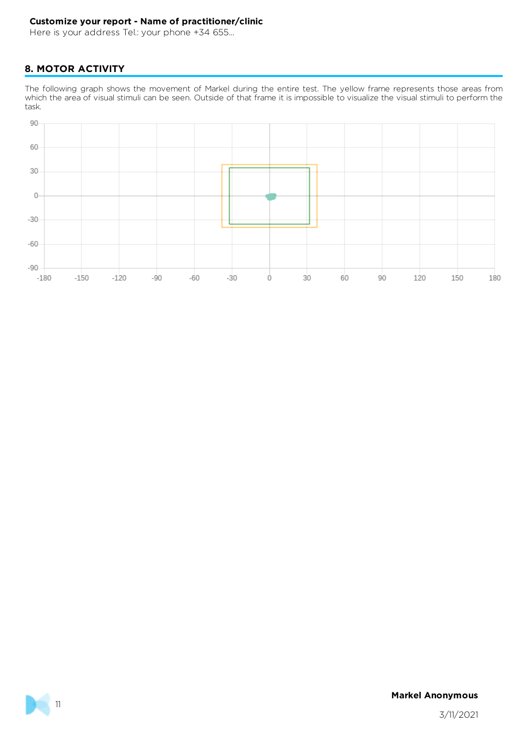Here is your address Tel.: your phone +34 655...

# **8. MOTOR ACTIVITY**

The following graph shows the movement of Markel during the entire test. The yellow frame represents those areas from which the area of visual stimuli can be seen. Outside of that frame it is impossible to visualize the visual stimuli to perform the task.



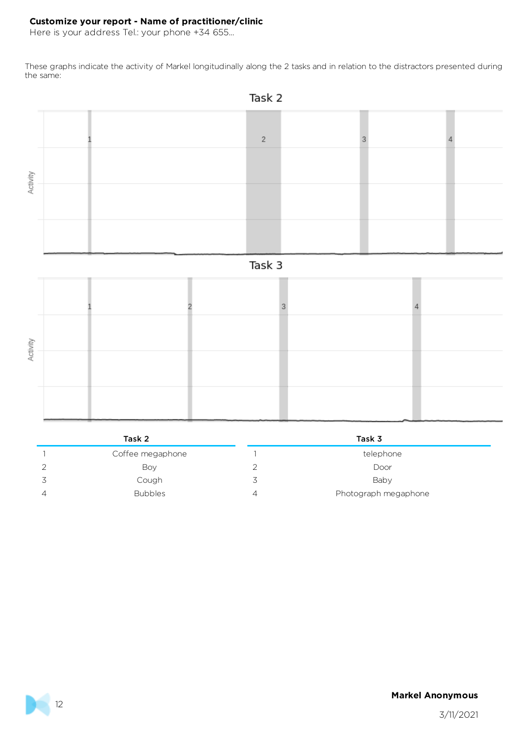Here is your address Tel.: your phone +34 655...

These graphs indicate the activity of Markel longitudinally along the 2 tasks and in relation to the distractors presented during the same:



# Task 2 Task 3 1 Coffee megaphone 1 telephone 1 telephone 2 Boy 2 Door 3 Cough 3 Baby 4 Bubbles 4 Photograph megaphone